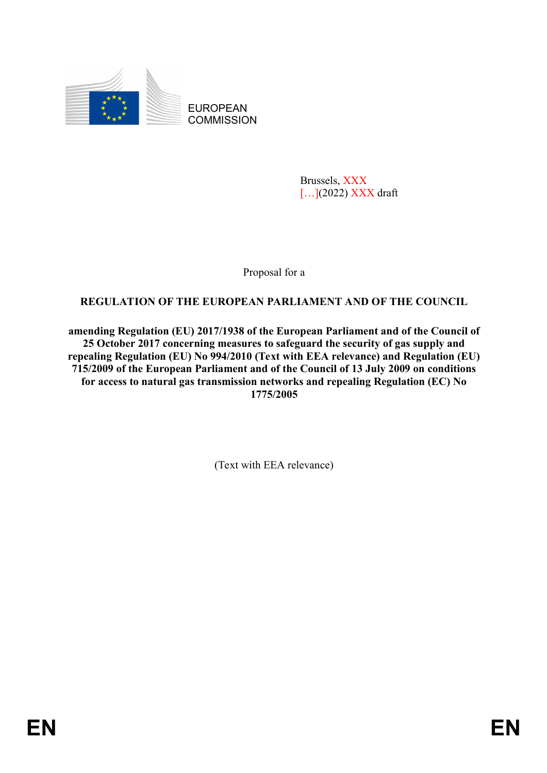

EUROPEAN **COMMISSION** 

> Brussels, XXX [...](2022) XXX draft

Proposal for a

# **REGULATION OF THE EUROPEAN PARLIAMENT AND OF THE COUNCIL**

**amending Regulation (EU) 2017/1938 of the European Parliament and of the Council of 25 October 2017 concerning measures to safeguard the security of gas supply and repealing Regulation (EU) No 994/2010 (Text with EEA relevance) and Regulation (EU) 715/2009 of the European Parliament and of the Council of 13 July 2009 on conditions for access to natural gas transmission networks and repealing Regulation (EC) No 1775/2005**

(Text with EEA relevance)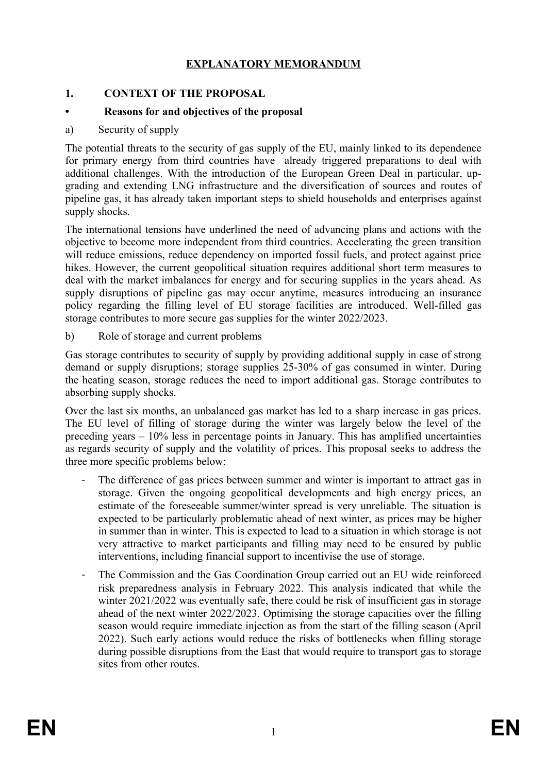## **EXPLANATORY MEMORANDUM**

#### **1. CONTEXT OF THE PROPOSAL**

#### **• Reasons for and objectives of the proposal**

a) Security of supply

The potential threats to the security of gas supply of the EU, mainly linked to its dependence for primary energy from third countries have already triggered preparations to deal with additional challenges. With the introduction of the European Green Deal in particular, upgrading and extending LNG infrastructure and the diversification of sources and routes of pipeline gas, it has already taken important steps to shield households and enterprises against supply shocks.

The international tensions have underlined the need of advancing plans and actions with the objective to become more independent from third countries. Accelerating the green transition will reduce emissions, reduce dependency on imported fossil fuels, and protect against price hikes. However, the current geopolitical situation requires additional short term measures to deal with the market imbalances for energy and for securing supplies in the years ahead. As supply disruptions of pipeline gas may occur anytime, measures introducing an insurance policy regarding the filling level of EU storage facilities are introduced. Well-filled gas storage contributes to more secure gas supplies for the winter 2022/2023.

b) Role of storage and current problems

Gas storage contributes to security of supply by providing additional supply in case of strong demand or supply disruptions; storage supplies 25-30% of gas consumed in winter. During the heating season, storage reduces the need to import additional gas. Storage contributes to absorbing supply shocks.

Over the last six months, an unbalanced gas market has led to a sharp increase in gas prices. The EU level of filling of storage during the winter was largely below the level of the preceding years – 10% less in percentage points in January. This has amplified uncertainties as regards security of supply and the volatility of prices. This proposal seeks to address the three more specific problems below:

- The difference of gas prices between summer and winter is important to attract gas in storage. Given the ongoing geopolitical developments and high energy prices, an estimate of the foreseeable summer/winter spread is very unreliable. The situation is expected to be particularly problematic ahead of next winter, as prices may be higher in summer than in winter. This is expected to lead to a situation in which storage is not very attractive to market participants and filling may need to be ensured by public interventions, including financial support to incentivise the use of storage.
- The Commission and the Gas Coordination Group carried out an EU wide reinforced risk preparedness analysis in February 2022. This analysis indicated that while the winter 2021/2022 was eventually safe, there could be risk of insufficient gas in storage ahead of the next winter 2022/2023. Optimising the storage capacities over the filling season would require immediate injection as from the start of the filling season (April 2022). Such early actions would reduce the risks of bottlenecks when filling storage during possible disruptions from the East that would require to transport gas to storage sites from other routes.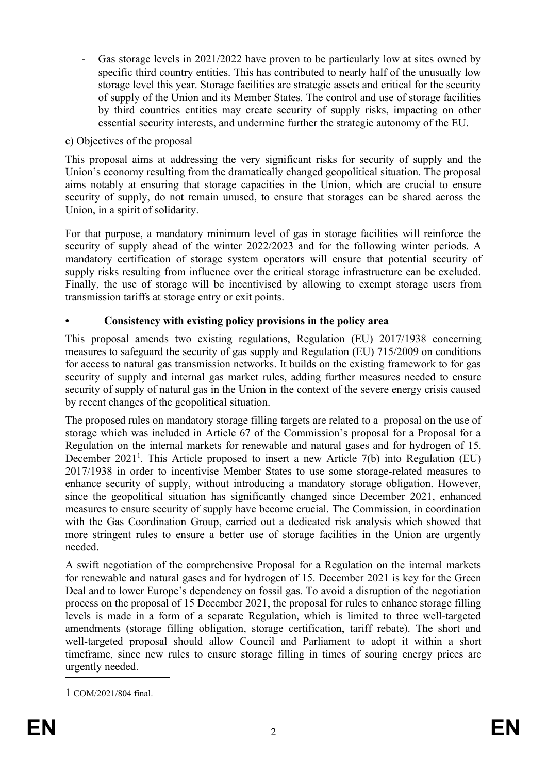Gas storage levels in 2021/2022 have proven to be particularly low at sites owned by specific third country entities. This has contributed to nearly half of the unusually low storage level this year. Storage facilities are strategic assets and critical for the security of supply of the Union and its Member States. The control and use of storage facilities by third countries entities may create security of supply risks, impacting on other essential security interests, and undermine further the strategic autonomy of the EU.

## c) Objectives of the proposal

This proposal aims at addressing the very significant risks for security of supply and the Union's economy resulting from the dramatically changed geopolitical situation. The proposal aims notably at ensuring that storage capacities in the Union, which are crucial to ensure security of supply, do not remain unused, to ensure that storages can be shared across the Union, in a spirit of solidarity.

For that purpose, a mandatory minimum level of gas in storage facilities will reinforce the security of supply ahead of the winter 2022/2023 and for the following winter periods. A mandatory certification of storage system operators will ensure that potential security of supply risks resulting from influence over the critical storage infrastructure can be excluded. Finally, the use of storage will be incentivised by allowing to exempt storage users from transmission tariffs at storage entry or exit points.

## **• Consistency with existing policy provisions in the policy area**

This proposal amends two existing regulations, Regulation (EU) 2017/1938 concerning measures to safeguard the security of gas supply and Regulation (EU) 715/2009 on conditions for access to natural gas transmission networks. It builds on the existing framework to for gas security of supply and internal gas market rules, adding further measures needed to ensure security of supply of natural gas in the Union in the context of the severe energy crisis caused by recent changes of the geopolitical situation.

The proposed rules on mandatory storage filling targets are related to a proposal on the use of storage which was included in Article 67 of the Commission's proposal for a Proposal for a Regulation on the internal markets for renewable and natural gases and for hydrogen of 15. December 202[1](#page-2-0)<sup>1</sup>. This Article proposed to insert a new Article 7(b) into Regulation (EU) 2017/1938 in order to incentivise Member States to use some storage-related measures to enhance security of supply, without introducing a mandatory storage obligation. However, since the geopolitical situation has significantly changed since December 2021, enhanced measures to ensure security of supply have become crucial. The Commission, in coordination with the Gas Coordination Group, carried out a dedicated risk analysis which showed that more stringent rules to ensure a better use of storage facilities in the Union are urgently needed.

A swift negotiation of the comprehensive Proposal for a Regulation on the internal markets for renewable and natural gases and for hydrogen of 15. December 2021 is key for the Green Deal and to lower Europe's dependency on fossil gas. To avoid a disruption of the negotiation process on the proposal of 15 December 2021, the proposal for rules to enhance storage filling levels is made in a form of a separate Regulation, which is limited to three well-targeted amendments (storage filling obligation, storage certification, tariff rebate). The short and well-targeted proposal should allow Council and Parliament to adopt it within a short timeframe, since new rules to ensure storage filling in times of souring energy prices are urgently needed.

<span id="page-2-0"></span><sup>1</sup> COM/2021/804 final.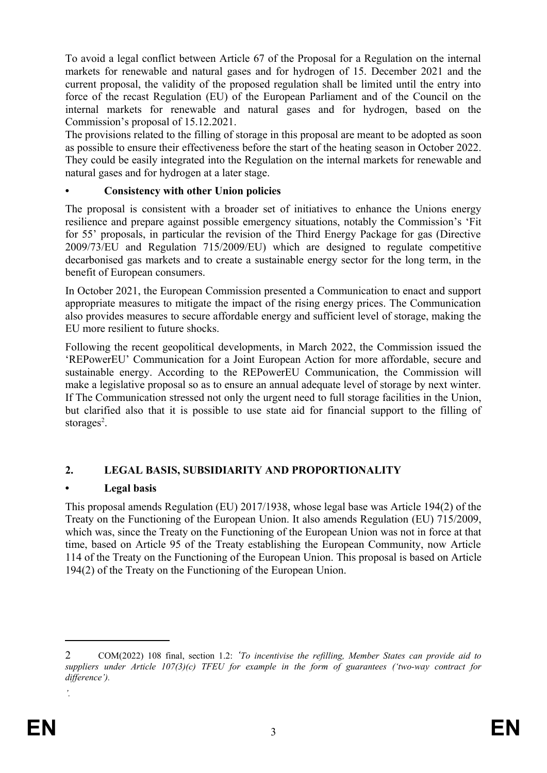To avoid a legal conflict between Article 67 of the Proposal for a Regulation on the internal markets for renewable and natural gases and for hydrogen of 15. December 2021 and the current proposal, the validity of the proposed regulation shall be limited until the entry into force of the recast Regulation (EU) of the European Parliament and of the Council on the internal markets for renewable and natural gases and for hydrogen, based on the Commission's proposal of 15.12.2021.

The provisions related to the filling of storage in this proposal are meant to be adopted as soon as possible to ensure their effectiveness before the start of the heating season in October 2022. They could be easily integrated into the Regulation on the internal markets for renewable and natural gases and for hydrogen at a later stage.

## **• Consistency with other Union policies**

The proposal is consistent with a broader set of initiatives to enhance the Unions energy resilience and prepare against possible emergency situations, notably the Commission's 'Fit for 55' proposals, in particular the revision of the Third Energy Package for gas (Directive 2009/73/EU and Regulation 715/2009/EU) which are designed to regulate competitive decarbonised gas markets and to create a sustainable energy sector for the long term, in the benefit of European consumers.

In October 2021, the European Commission presented a Communication to enact and support appropriate measures to mitigate the impact of the rising energy prices. The Communication also provides measures to secure affordable energy and sufficient level of storage, making the EU more resilient to future shocks.

Following the recent geopolitical developments, in March 2022, the Commission issued the 'REPowerEU' Communication for a Joint European Action for more affordable, secure and sustainable energy. According to the REPowerEU Communication, the Commission will make a legislative proposal so as to ensure an annual adequate level of storage by next winter. If The Communication stressed not only the urgent need to full storage facilities in the Union, but clarified also that it is possible to use state aid for financial support to the filling of storages<sup>[2](#page-3-0)</sup>.

# **2. LEGAL BASIS, SUBSIDIARITY AND PROPORTIONALITY**

# **• Legal basis**

This proposal amends Regulation (EU) 2017/1938, whose legal base was Article 194(2) of the Treaty on the Functioning of the European Union. It also amends Regulation (EU) 715/2009, which was, since the Treaty on the Functioning of the European Union was not in force at that time, based on Article 95 of the Treaty establishing the European Community, now Article 114 of the Treaty on the Functioning of the European Union. This proposal is based on Article 194(2) of the Treaty on the Functioning of the European Union.

*'.*

<span id="page-3-0"></span><sup>2</sup> COM(2022) 108 final, section 1.2: *'To incentivise the refilling, Member States can provide aid to suppliers under Article 107(3)(c) TFEU for example in the form of guarantees ('two-way contract for difference').*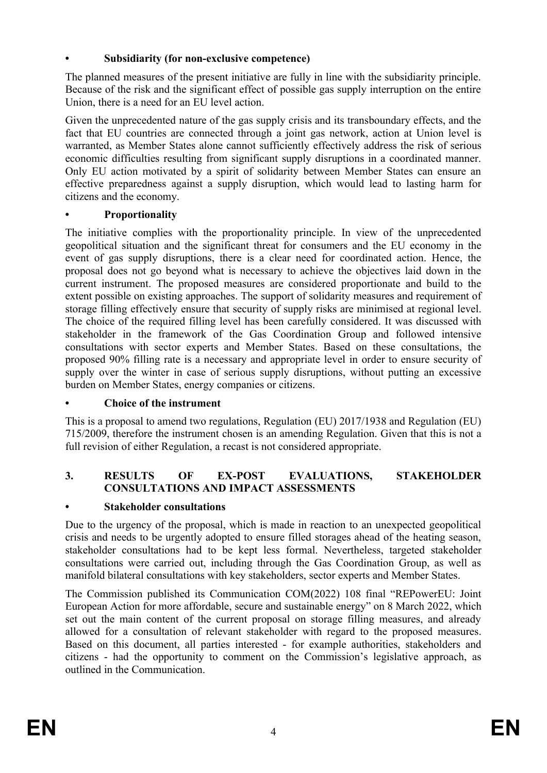## **• Subsidiarity (for non-exclusive competence)**

The planned measures of the present initiative are fully in line with the subsidiarity principle. Because of the risk and the significant effect of possible gas supply interruption on the entire Union, there is a need for an EU level action.

Given the unprecedented nature of the gas supply crisis and its transboundary effects, and the fact that EU countries are connected through a joint gas network, action at Union level is warranted, as Member States alone cannot sufficiently effectively address the risk of serious economic difficulties resulting from significant supply disruptions in a coordinated manner. Only EU action motivated by a spirit of solidarity between Member States can ensure an effective preparedness against a supply disruption, which would lead to lasting harm for citizens and the economy.

# **• Proportionality**

The initiative complies with the proportionality principle. In view of the unprecedented geopolitical situation and the significant threat for consumers and the EU economy in the event of gas supply disruptions, there is a clear need for coordinated action. Hence, the proposal does not go beyond what is necessary to achieve the objectives laid down in the current instrument. The proposed measures are considered proportionate and build to the extent possible on existing approaches. The support of solidarity measures and requirement of storage filling effectively ensure that security of supply risks are minimised at regional level. The choice of the required filling level has been carefully considered. It was discussed with stakeholder in the framework of the Gas Coordination Group and followed intensive consultations with sector experts and Member States. Based on these consultations, the proposed 90% filling rate is a necessary and appropriate level in order to ensure security of supply over the winter in case of serious supply disruptions, without putting an excessive burden on Member States, energy companies or citizens.

## **• Choice of the instrument**

This is a proposal to amend two regulations, Regulation (EU) 2017/1938 and Regulation (EU) 715/2009, therefore the instrument chosen is an amending Regulation. Given that this is not a full revision of either Regulation, a recast is not considered appropriate.

## **3. RESULTS OF EX-POST EVALUATIONS, STAKEHOLDER CONSULTATIONS AND IMPACT ASSESSMENTS**

# **• Stakeholder consultations**

Due to the urgency of the proposal, which is made in reaction to an unexpected geopolitical crisis and needs to be urgently adopted to ensure filled storages ahead of the heating season, stakeholder consultations had to be kept less formal. Nevertheless, targeted stakeholder consultations were carried out, including through the Gas Coordination Group, as well as manifold bilateral consultations with key stakeholders, sector experts and Member States.

The Commission published its Communication COM(2022) 108 final "REPowerEU: Joint European Action for more affordable, secure and sustainable energy" on 8 March 2022, which set out the main content of the current proposal on storage filling measures, and already allowed for a consultation of relevant stakeholder with regard to the proposed measures. Based on this document, all parties interested - for example authorities, stakeholders and citizens - had the opportunity to comment on the Commission's legislative approach, as outlined in the Communication.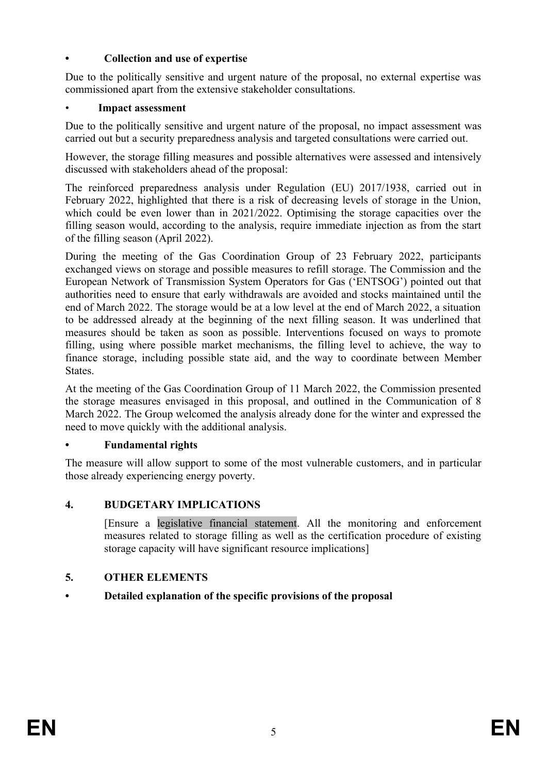## **• Collection and use of expertise**

Due to the politically sensitive and urgent nature of the proposal, no external expertise was commissioned apart from the extensive stakeholder consultations.

## • **Impact assessment**

Due to the politically sensitive and urgent nature of the proposal, no impact assessment was carried out but a security preparedness analysis and targeted consultations were carried out.

However, the storage filling measures and possible alternatives were assessed and intensively discussed with stakeholders ahead of the proposal:

The reinforced preparedness analysis under Regulation (EU) 2017/1938, carried out in February 2022, highlighted that there is a risk of decreasing levels of storage in the Union, which could be even lower than in 2021/2022. Optimising the storage capacities over the filling season would, according to the analysis, require immediate injection as from the start of the filling season (April 2022).

During the meeting of the Gas Coordination Group of 23 February 2022, participants exchanged views on storage and possible measures to refill storage. The Commission and the European Network of Transmission System Operators for Gas ('ENTSOG') pointed out that authorities need to ensure that early withdrawals are avoided and stocks maintained until the end of March 2022. The storage would be at a low level at the end of March 2022, a situation to be addressed already at the beginning of the next filling season. It was underlined that measures should be taken as soon as possible. Interventions focused on ways to promote filling, using where possible market mechanisms, the filling level to achieve, the way to finance storage, including possible state aid, and the way to coordinate between Member States.

At the meeting of the Gas Coordination Group of 11 March 2022, the Commission presented the storage measures envisaged in this proposal, and outlined in the Communication of 8 March 2022. The Group welcomed the analysis already done for the winter and expressed the need to move quickly with the additional analysis.

## **• Fundamental rights**

The measure will allow support to some of the most vulnerable customers, and in particular those already experiencing energy poverty.

# **4. BUDGETARY IMPLICATIONS**

[Ensure a legislative financial statement. All the monitoring and enforcement measures related to storage filling as well as the certification procedure of existing storage capacity will have significant resource implications]

# **5. OTHER ELEMENTS**

# **• Detailed explanation of the specific provisions of the proposal**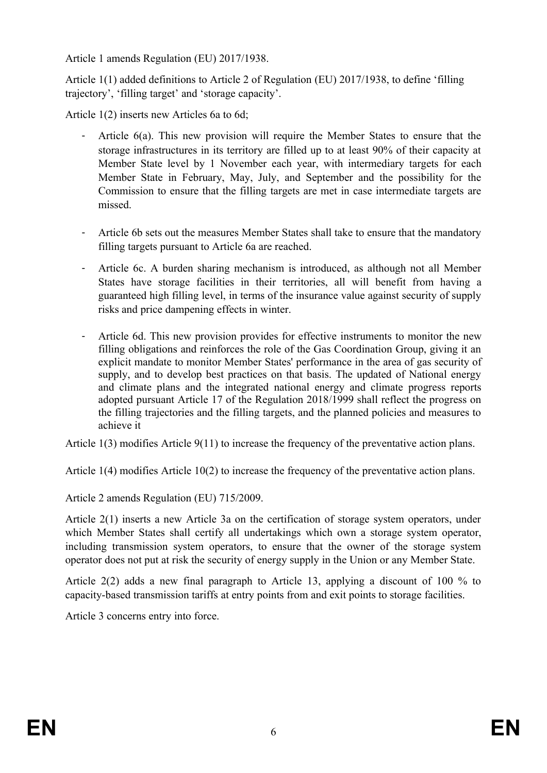Article 1 amends Regulation (EU) 2017/1938.

Article 1(1) added definitions to Article 2 of Regulation (EU) 2017/1938, to define 'filling trajectory', 'filling target' and 'storage capacity'.

Article 1(2) inserts new Articles 6a to 6d;

- Article 6(a). This new provision will require the Member States to ensure that the storage infrastructures in its territory are filled up to at least 90% of their capacity at Member State level by 1 November each year, with intermediary targets for each Member State in February, May, July, and September and the possibility for the Commission to ensure that the filling targets are met in case intermediate targets are missed.
- Article 6b sets out the measures Member States shall take to ensure that the mandatory filling targets pursuant to Article 6a are reached.
- Article 6c. A burden sharing mechanism is introduced, as although not all Member States have storage facilities in their territories, all will benefit from having a guaranteed high filling level, in terms of the insurance value against security of supply risks and price dampening effects in winter.
- Article 6d. This new provision provides for effective instruments to monitor the new filling obligations and reinforces the role of the Gas Coordination Group, giving it an explicit mandate to monitor Member States' performance in the area of gas security of supply, and to develop best practices on that basis. The updated of National energy and climate plans and the integrated national energy and climate progress reports adopted pursuant Article 17 of the Regulation 2018/1999 shall reflect the progress on the filling trajectories and the filling targets, and the planned policies and measures to achieve it

Article 1(3) modifies Article 9(11) to increase the frequency of the preventative action plans.

Article 1(4) modifies Article 10(2) to increase the frequency of the preventative action plans.

Article 2 amends Regulation (EU) 715/2009.

Article 2(1) inserts a new Article 3a on the certification of storage system operators, under which Member States shall certify all undertakings which own a storage system operator, including transmission system operators, to ensure that the owner of the storage system operator does not put at risk the security of energy supply in the Union or any Member State.

Article 2(2) adds a new final paragraph to Article 13, applying a discount of 100 % to capacity-based transmission tariffs at entry points from and exit points to storage facilities.

Article 3 concerns entry into force.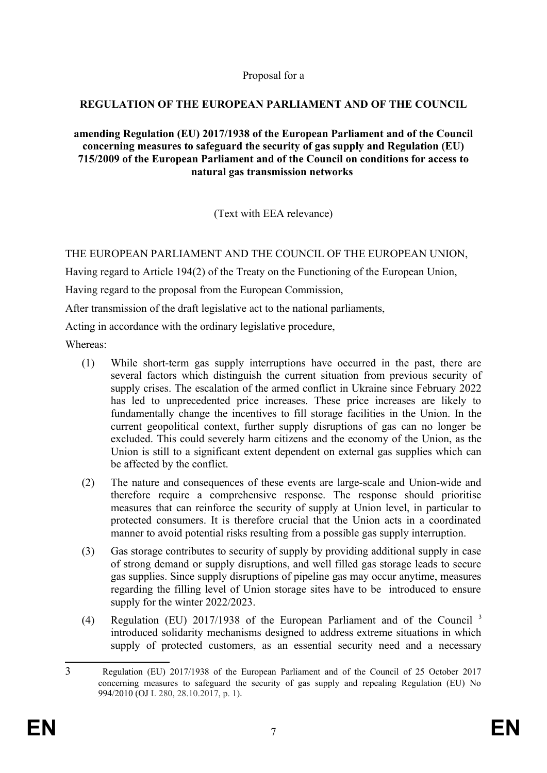Proposal for a

## **REGULATION OF THE EUROPEAN PARLIAMENT AND OF THE COUNCIL**

#### **amending Regulation (EU) 2017/1938 of the European Parliament and of the Council concerning measures to safeguard the security of gas supply and Regulation (EU) 715/2009 of the European Parliament and of the Council on conditions for access to natural gas transmission networks**

(Text with EEA relevance)

## THE EUROPEAN PARLIAMENT AND THE COUNCIL OF THE EUROPEAN UNION,

Having regard to Article 194(2) of the Treaty on the Functioning of the European Union,

Having regard to the proposal from the European Commission,

After transmission of the draft legislative act to the national parliaments,

Acting in accordance with the ordinary legislative procedure,

Whereas:

- (1) While short-term gas supply interruptions have occurred in the past, there are several factors which distinguish the current situation from previous security of supply crises. The escalation of the armed conflict in Ukraine since February 2022 has led to unprecedented price increases. These price increases are likely to fundamentally change the incentives to fill storage facilities in the Union. In the current geopolitical context, further supply disruptions of gas can no longer be excluded. This could severely harm citizens and the economy of the Union, as the Union is still to a significant extent dependent on external gas supplies which can be affected by the conflict.
- (2) The nature and consequences of these events are large-scale and Union-wide and therefore require a comprehensive response. The response should prioritise measures that can reinforce the security of supply at Union level, in particular to protected consumers. It is therefore crucial that the Union acts in a coordinated manner to avoid potential risks resulting from a possible gas supply interruption.
- (3) Gas storage contributes to security of supply by providing additional supply in case of strong demand or supply disruptions, and well filled gas storage leads to secure gas supplies. Since supply disruptions of pipeline gas may occur anytime, measures regarding the filling level of Union storage sites have to be introduced to ensure supply for the winter 2022/2023.
- (4) Regulation (EU) 2017/1938 of the European Parliament and of the Council<sup>3</sup> introduced solidarity mechanisms designed to address extreme situations in which supply of protected customers, as an essential security need and a necessary

<span id="page-7-0"></span><sup>3</sup> Regulation (EU) 2017/1938 of the European Parliament and of the Council of 25 October 2017 concerning measures to safeguard the security of gas supply and repealing Regulation (EU) No 994/2010 (OJ L 280, 28.10.2017, p. 1).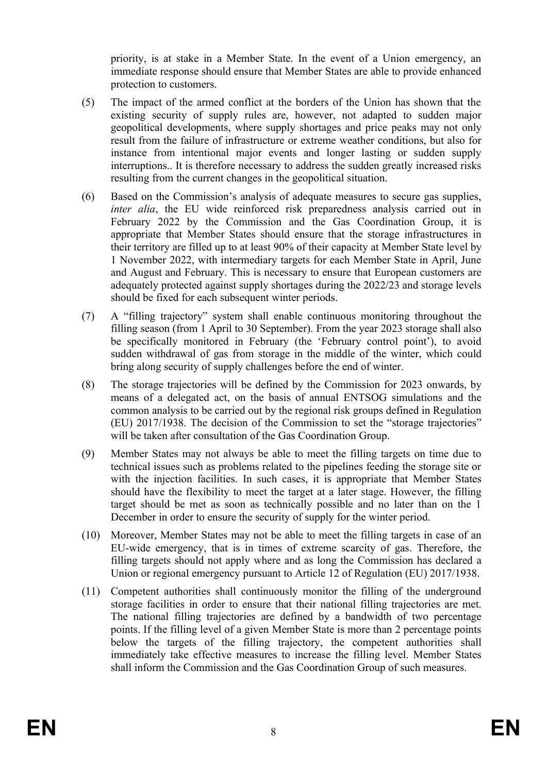priority, is at stake in a Member State. In the event of a Union emergency, an immediate response should ensure that Member States are able to provide enhanced protection to customers.

- (5) The impact of the armed conflict at the borders of the Union has shown that the existing security of supply rules are, however, not adapted to sudden major geopolitical developments, where supply shortages and price peaks may not only result from the failure of infrastructure or extreme weather conditions, but also for instance from intentional major events and longer lasting or sudden supply interruptions.. It is therefore necessary to address the sudden greatly increased risks resulting from the current changes in the geopolitical situation.
- (6) Based on the Commission's analysis of adequate measures to secure gas supplies, *inter alia*, the EU wide reinforced risk preparedness analysis carried out in February 2022 by the Commission and the Gas Coordination Group, it is appropriate that Member States should ensure that the storage infrastructures in their territory are filled up to at least 90% of their capacity at Member State level by 1 November 2022, with intermediary targets for each Member State in April, June and August and February. This is necessary to ensure that European customers are adequately protected against supply shortages during the 2022/23 and storage levels should be fixed for each subsequent winter periods.
- (7) A "filling trajectory" system shall enable continuous monitoring throughout the filling season (from 1 April to 30 September). From the year 2023 storage shall also be specifically monitored in February (the 'February control point'), to avoid sudden withdrawal of gas from storage in the middle of the winter, which could bring along security of supply challenges before the end of winter.
- (8) The storage trajectories will be defined by the Commission for 2023 onwards, by means of a delegated act, on the basis of annual ENTSOG simulations and the common analysis to be carried out by the regional risk groups defined in Regulation (EU) 2017/1938. The decision of the Commission to set the "storage trajectories" will be taken after consultation of the Gas Coordination Group.
- (9) Member States may not always be able to meet the filling targets on time due to technical issues such as problems related to the pipelines feeding the storage site or with the injection facilities. In such cases, it is appropriate that Member States should have the flexibility to meet the target at a later stage. However, the filling target should be met as soon as technically possible and no later than on the 1 December in order to ensure the security of supply for the winter period.
- (10) Moreover, Member States may not be able to meet the filling targets in case of an EU-wide emergency, that is in times of extreme scarcity of gas. Therefore, the filling targets should not apply where and as long the Commission has declared a Union or regional emergency pursuant to Article 12 of Regulation (EU) 2017/1938.
- (11) Competent authorities shall continuously monitor the filling of the underground storage facilities in order to ensure that their national filling trajectories are met. The national filling trajectories are defined by a bandwidth of two percentage points. If the filling level of a given Member State is more than 2 percentage points below the targets of the filling trajectory, the competent authorities shall immediately take effective measures to increase the filling level. Member States shall inform the Commission and the Gas Coordination Group of such measures.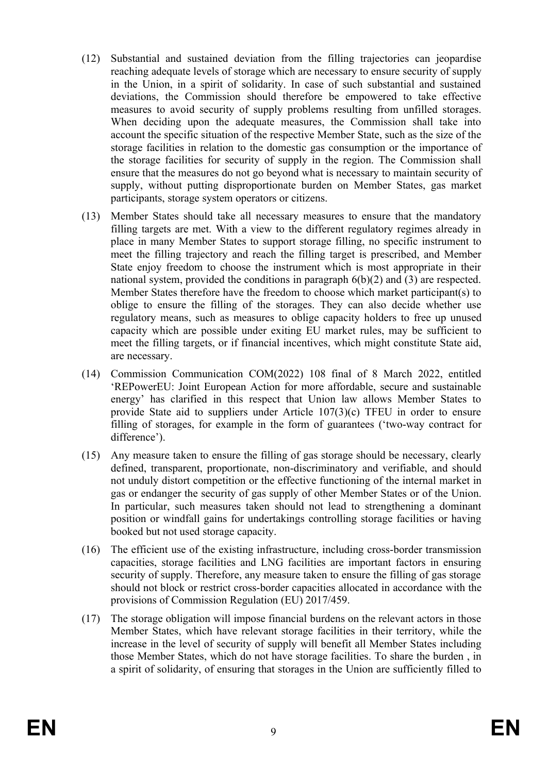- (12) Substantial and sustained deviation from the filling trajectories can jeopardise reaching adequate levels of storage which are necessary to ensure security of supply in the Union, in a spirit of solidarity. In case of such substantial and sustained deviations, the Commission should therefore be empowered to take effective measures to avoid security of supply problems resulting from unfilled storages. When deciding upon the adequate measures, the Commission shall take into account the specific situation of the respective Member State, such as the size of the storage facilities in relation to the domestic gas consumption or the importance of the storage facilities for security of supply in the region. The Commission shall ensure that the measures do not go beyond what is necessary to maintain security of supply, without putting disproportionate burden on Member States, gas market participants, storage system operators or citizens.
- (13) Member States should take all necessary measures to ensure that the mandatory filling targets are met. With a view to the different regulatory regimes already in place in many Member States to support storage filling, no specific instrument to meet the filling trajectory and reach the filling target is prescribed, and Member State enjoy freedom to choose the instrument which is most appropriate in their national system, provided the conditions in paragraph 6(b)(2) and (3) are respected. Member States therefore have the freedom to choose which market participant(s) to oblige to ensure the filling of the storages. They can also decide whether use regulatory means, such as measures to oblige capacity holders to free up unused capacity which are possible under exiting EU market rules, may be sufficient to meet the filling targets, or if financial incentives, which might constitute State aid, are necessary.
- (14) Commission Communication COM(2022) 108 final of 8 March 2022, entitled 'REPowerEU: Joint European Action for more affordable, secure and sustainable energy' has clarified in this respect that Union law allows Member States to provide State aid to suppliers under Article 107(3)(c) TFEU in order to ensure filling of storages, for example in the form of guarantees ('two-way contract for difference').
- (15) Any measure taken to ensure the filling of gas storage should be necessary, clearly defined, transparent, proportionate, non-discriminatory and verifiable, and should not unduly distort competition or the effective functioning of the internal market in gas or endanger the security of gas supply of other Member States or of the Union. In particular, such measures taken should not lead to strengthening a dominant position or windfall gains for undertakings controlling storage facilities or having booked but not used storage capacity.
- (16) The efficient use of the existing infrastructure, including cross-border transmission capacities, storage facilities and LNG facilities are important factors in ensuring security of supply. Therefore, any measure taken to ensure the filling of gas storage should not block or restrict cross-border capacities allocated in accordance with the provisions of Commission Regulation (EU) 2017/459.
- (17) The storage obligation will impose financial burdens on the relevant actors in those Member States, which have relevant storage facilities in their territory, while the increase in the level of security of supply will benefit all Member States including those Member States, which do not have storage facilities. To share the burden , in a spirit of solidarity, of ensuring that storages in the Union are sufficiently filled to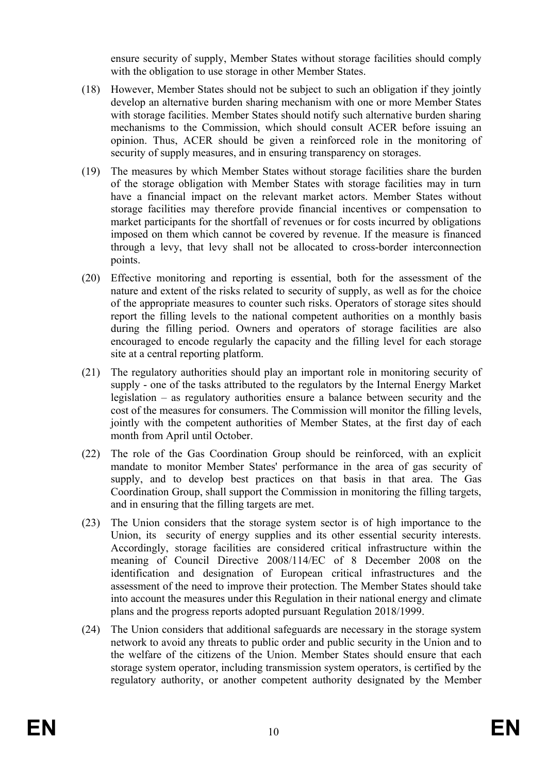ensure security of supply, Member States without storage facilities should comply with the obligation to use storage in other Member States.

- (18) However, Member States should not be subject to such an obligation if they jointly develop an alternative burden sharing mechanism with one or more Member States with storage facilities. Member States should notify such alternative burden sharing mechanisms to the Commission, which should consult ACER before issuing an opinion. Thus, ACER should be given a reinforced role in the monitoring of security of supply measures, and in ensuring transparency on storages.
- (19) The measures by which Member States without storage facilities share the burden of the storage obligation with Member States with storage facilities may in turn have a financial impact on the relevant market actors. Member States without storage facilities may therefore provide financial incentives or compensation to market participants for the shortfall of revenues or for costs incurred by obligations imposed on them which cannot be covered by revenue. If the measure is financed through a levy, that levy shall not be allocated to cross-border interconnection points.
- (20) Effective monitoring and reporting is essential, both for the assessment of the nature and extent of the risks related to security of supply, as well as for the choice of the appropriate measures to counter such risks. Operators of storage sites should report the filling levels to the national competent authorities on a monthly basis during the filling period. Owners and operators of storage facilities are also encouraged to encode regularly the capacity and the filling level for each storage site at a central reporting platform.
- (21) The regulatory authorities should play an important role in monitoring security of supply - one of the tasks attributed to the regulators by the Internal Energy Market legislation – as regulatory authorities ensure a balance between security and the cost of the measures for consumers. The Commission will monitor the filling levels, jointly with the competent authorities of Member States, at the first day of each month from April until October.
- (22) The role of the Gas Coordination Group should be reinforced, with an explicit mandate to monitor Member States' performance in the area of gas security of supply, and to develop best practices on that basis in that area. The Gas Coordination Group, shall support the Commission in monitoring the filling targets, and in ensuring that the filling targets are met.
- (23) The Union considers that the storage system sector is of high importance to the Union, its security of energy supplies and its other essential security interests. Accordingly, storage facilities are considered critical infrastructure within the meaning of Council Directive 2008/114/EC of 8 December 2008 on the identification and designation of European critical infrastructures and the assessment of the need to improve their protection. The Member States should take into account the measures under this Regulation in their national energy and climate plans and the progress reports adopted pursuant Regulation 2018/1999.
- (24) The Union considers that additional safeguards are necessary in the storage system network to avoid any threats to public order and public security in the Union and to the welfare of the citizens of the Union. Member States should ensure that each storage system operator, including transmission system operators, is certified by the regulatory authority, or another competent authority designated by the Member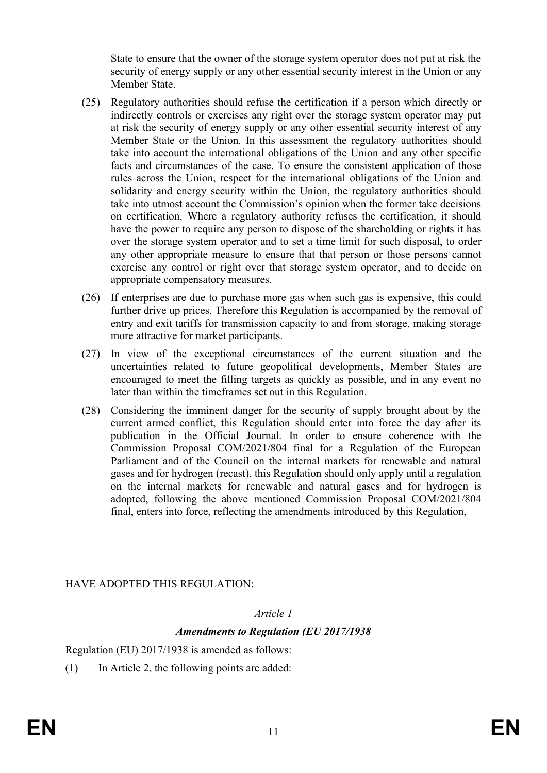State to ensure that the owner of the storage system operator does not put at risk the security of energy supply or any other essential security interest in the Union or any Member State.

- (25) Regulatory authorities should refuse the certification if a person which directly or indirectly controls or exercises any right over the storage system operator may put at risk the security of energy supply or any other essential security interest of any Member State or the Union. In this assessment the regulatory authorities should take into account the international obligations of the Union and any other specific facts and circumstances of the case. To ensure the consistent application of those rules across the Union, respect for the international obligations of the Union and solidarity and energy security within the Union, the regulatory authorities should take into utmost account the Commission's opinion when the former take decisions on certification. Where a regulatory authority refuses the certification, it should have the power to require any person to dispose of the shareholding or rights it has over the storage system operator and to set a time limit for such disposal, to order any other appropriate measure to ensure that that person or those persons cannot exercise any control or right over that storage system operator, and to decide on appropriate compensatory measures.
- (26) If enterprises are due to purchase more gas when such gas is expensive, this could further drive up prices. Therefore this Regulation is accompanied by the removal of entry and exit tariffs for transmission capacity to and from storage, making storage more attractive for market participants.
- (27) In view of the exceptional circumstances of the current situation and the uncertainties related to future geopolitical developments, Member States are encouraged to meet the filling targets as quickly as possible, and in any event no later than within the timeframes set out in this Regulation.
- (28) Considering the imminent danger for the security of supply brought about by the current armed conflict, this Regulation should enter into force the day after its publication in the Official Journal. In order to ensure coherence with the Commission Proposal COM/2021/804 final for a Regulation of the European Parliament and of the Council on the internal markets for renewable and natural gases and for hydrogen (recast), this Regulation should only apply until a regulation on the internal markets for renewable and natural gases and for hydrogen is adopted, following the above mentioned Commission Proposal COM/2021/804 final, enters into force, reflecting the amendments introduced by this Regulation,

## HAVE ADOPTED THIS REGULATION:

## *Article 1*

## *Amendments to Regulation (EU 2017/1938*

Regulation (EU) 2017/1938 is amended as follows:

(1) In Article 2, the following points are added: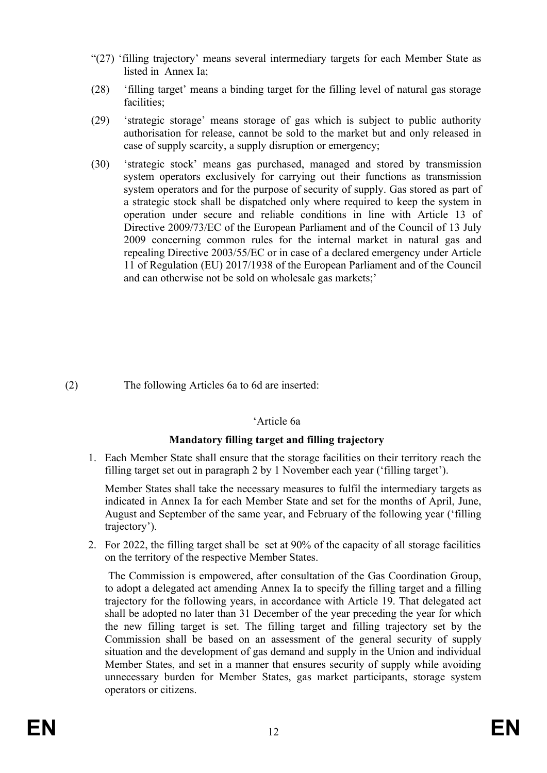- "(27) 'filling trajectory' means several intermediary targets for each Member State as listed in Annex Ia;
- (28) 'filling target' means a binding target for the filling level of natural gas storage facilities;
- (29) 'strategic storage' means storage of gas which is subject to public authority authorisation for release, cannot be sold to the market but and only released in case of supply scarcity, a supply disruption or emergency;
- (30) 'strategic stock' means gas purchased, managed and stored by transmission system operators exclusively for carrying out their functions as transmission system operators and for the purpose of security of supply. Gas stored as part of a strategic stock shall be dispatched only where required to keep the system in operation under secure and reliable conditions in line with Article 13 of Directive 2009/73/EC of the European Parliament and of the Council of 13 July 2009 concerning common rules for the internal market in natural gas and repealing Directive 2003/55/EC or in case of a declared emergency under Article 11 of Regulation (EU) 2017/1938 of the European Parliament and of the Council and can otherwise not be sold on wholesale gas markets;'

(2) The following Articles 6a to 6d are inserted:

#### 'Article 6a

## **Mandatory filling target and filling trajectory**

1. Each Member State shall ensure that the storage facilities on their territory reach the filling target set out in paragraph 2 by 1 November each year ('filling target').

Member States shall take the necessary measures to fulfil the intermediary targets as indicated in Annex Ia for each Member State and set for the months of April, June, August and September of the same year, and February of the following year ('filling trajectory').

2. For 2022, the filling target shall be set at 90% of the capacity of all storage facilities on the territory of the respective Member States.

 The Commission is empowered, after consultation of the Gas Coordination Group, to adopt a delegated act amending Annex Ia to specify the filling target and a filling trajectory for the following years, in accordance with Article 19. That delegated act shall be adopted no later than 31 December of the year preceding the year for which the new filling target is set. The filling target and filling trajectory set by the Commission shall be based on an assessment of the general security of supply situation and the development of gas demand and supply in the Union and individual Member States, and set in a manner that ensures security of supply while avoiding unnecessary burden for Member States, gas market participants, storage system operators or citizens.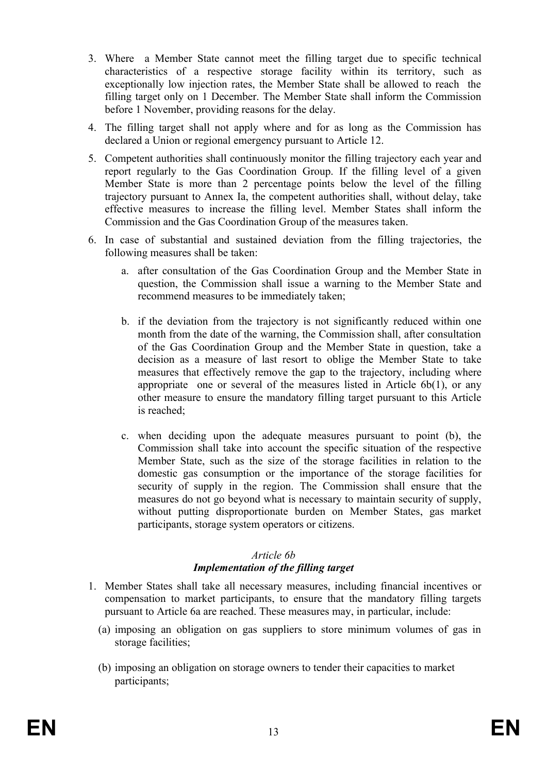- 3. Where a Member State cannot meet the filling target due to specific technical characteristics of a respective storage facility within its territory, such as exceptionally low injection rates, the Member State shall be allowed to reach the filling target only on 1 December. The Member State shall inform the Commission before 1 November, providing reasons for the delay.
- 4. The filling target shall not apply where and for as long as the Commission has declared a Union or regional emergency pursuant to Article 12.
- 5. Competent authorities shall continuously monitor the filling trajectory each year and report regularly to the Gas Coordination Group. If the filling level of a given Member State is more than 2 percentage points below the level of the filling trajectory pursuant to Annex Ia, the competent authorities shall, without delay, take effective measures to increase the filling level. Member States shall inform the Commission and the Gas Coordination Group of the measures taken.
- 6. In case of substantial and sustained deviation from the filling trajectories, the following measures shall be taken:
	- a. after consultation of the Gas Coordination Group and the Member State in question, the Commission shall issue a warning to the Member State and recommend measures to be immediately taken;
	- b. if the deviation from the trajectory is not significantly reduced within one month from the date of the warning, the Commission shall, after consultation of the Gas Coordination Group and the Member State in question, take a decision as a measure of last resort to oblige the Member State to take measures that effectively remove the gap to the trajectory, including where appropriate one or several of the measures listed in Article 6b(1), or any other measure to ensure the mandatory filling target pursuant to this Article is reached;
	- c. when deciding upon the adequate measures pursuant to point (b), the Commission shall take into account the specific situation of the respective Member State, such as the size of the storage facilities in relation to the domestic gas consumption or the importance of the storage facilities for security of supply in the region. The Commission shall ensure that the measures do not go beyond what is necessary to maintain security of supply, without putting disproportionate burden on Member States, gas market participants, storage system operators or citizens.

#### *Article 6b Implementation of the filling target*

- 1. Member States shall take all necessary measures, including financial incentives or compensation to market participants, to ensure that the mandatory filling targets pursuant to Article 6a are reached. These measures may, in particular, include:
	- (a) imposing an obligation on gas suppliers to store minimum volumes of gas in storage facilities;
	- (b) imposing an obligation on storage owners to tender their capacities to market participants;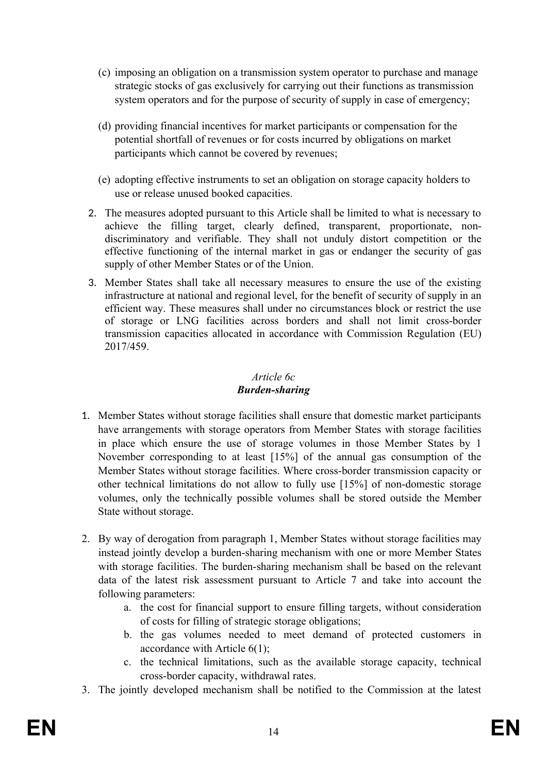- (c) imposing an obligation on a transmission system operator to purchase and manage strategic stocks of gas exclusively for carrying out their functions as transmission system operators and for the purpose of security of supply in case of emergency;
- (d) providing financial incentives for market participants or compensation for the potential shortfall of revenues or for costs incurred by obligations on market participants which cannot be covered by revenues;
- (e) adopting effective instruments to set an obligation on storage capacity holders to use or release unused booked capacities.
- 2. The measures adopted pursuant to this Article shall be limited to what is necessary to achieve the filling target, clearly defined, transparent, proportionate, nondiscriminatory and verifiable. They shall not unduly distort competition or the effective functioning of the internal market in gas or endanger the security of gas supply of other Member States or of the Union.
- 3. Member States shall take all necessary measures to ensure the use of the existing infrastructure at national and regional level, for the benefit of security of supply in an efficient way. These measures shall under no circumstances block or restrict the use of storage or LNG facilities across borders and shall not limit cross-border transmission capacities allocated in accordance with Commission Regulation (EU) 2017/459.

#### *Article 6c Burden-sharing*

- 1. Member States without storage facilities shall ensure that domestic market participants have arrangements with storage operators from Member States with storage facilities in place which ensure the use of storage volumes in those Member States by 1 November corresponding to at least [15%] of the annual gas consumption of the Member States without storage facilities. Where cross-border transmission capacity or other technical limitations do not allow to fully use [15%] of non-domestic storage volumes, only the technically possible volumes shall be stored outside the Member State without storage.
- 2. By way of derogation from paragraph 1, Member States without storage facilities may instead jointly develop a burden-sharing mechanism with one or more Member States with storage facilities. The burden-sharing mechanism shall be based on the relevant data of the latest risk assessment pursuant to Article 7 and take into account the following parameters:
	- a. the cost for financial support to ensure filling targets, without consideration of costs for filling of strategic storage obligations;
	- b. the gas volumes needed to meet demand of protected customers in accordance with Article 6(1);
	- c. the technical limitations, such as the available storage capacity, technical cross-border capacity, withdrawal rates.
- 3. The jointly developed mechanism shall be notified to the Commission at the latest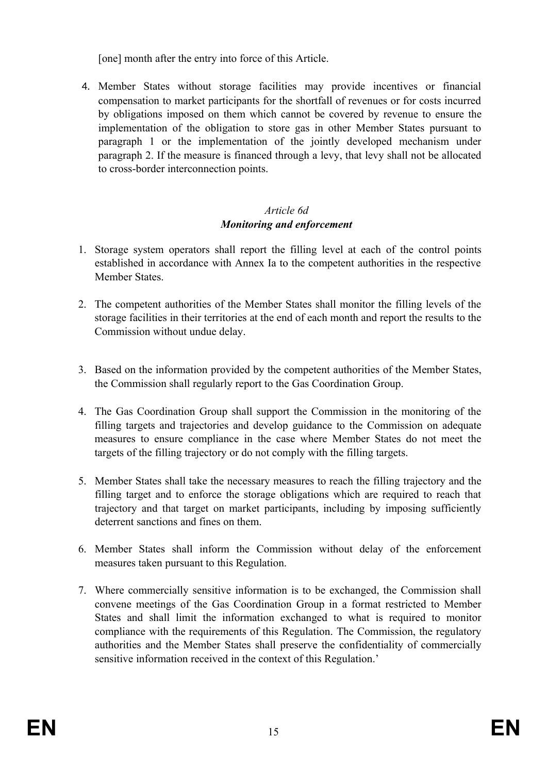[one] month after the entry into force of this Article.

4. Member States without storage facilities may provide incentives or financial compensation to market participants for the shortfall of revenues or for costs incurred by obligations imposed on them which cannot be covered by revenue to ensure the implementation of the obligation to store gas in other Member States pursuant to paragraph 1 or the implementation of the jointly developed mechanism under paragraph 2. If the measure is financed through a levy, that levy shall not be allocated to cross-border interconnection points.

# *Article 6d Monitoring and enforcement*

- 1. Storage system operators shall report the filling level at each of the control points established in accordance with Annex Ia to the competent authorities in the respective Member States.
- 2. The competent authorities of the Member States shall monitor the filling levels of the storage facilities in their territories at the end of each month and report the results to the Commission without undue delay.
- 3. Based on the information provided by the competent authorities of the Member States, the Commission shall regularly report to the Gas Coordination Group.
- 4. The Gas Coordination Group shall support the Commission in the monitoring of the filling targets and trajectories and develop guidance to the Commission on adequate measures to ensure compliance in the case where Member States do not meet the targets of the filling trajectory or do not comply with the filling targets.
- 5. Member States shall take the necessary measures to reach the filling trajectory and the filling target and to enforce the storage obligations which are required to reach that trajectory and that target on market participants, including by imposing sufficiently deterrent sanctions and fines on them.
- 6. Member States shall inform the Commission without delay of the enforcement measures taken pursuant to this Regulation.
- 7. Where commercially sensitive information is to be exchanged, the Commission shall convene meetings of the Gas Coordination Group in a format restricted to Member States and shall limit the information exchanged to what is required to monitor compliance with the requirements of this Regulation. The Commission, the regulatory authorities and the Member States shall preserve the confidentiality of commercially sensitive information received in the context of this Regulation.'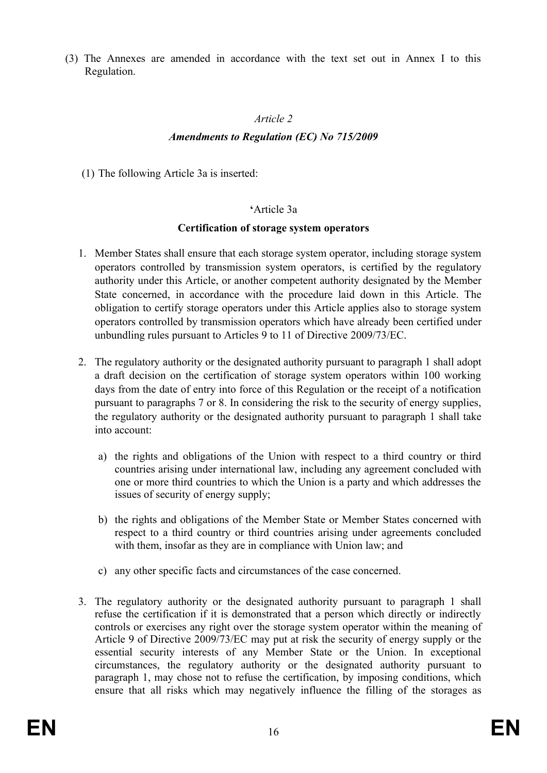(3) The Annexes are amended in accordance with the text set out in Annex I to this Regulation.

## *Article 2*

# *Amendments to Regulation (EC) No 715/2009*

(1) The following Article 3a is inserted:

#### **'**Article 3a

#### **Certification of storage system operators**

- 1. Member States shall ensure that each storage system operator, including storage system operators controlled by transmission system operators, is certified by the regulatory authority under this Article, or another competent authority designated by the Member State concerned, in accordance with the procedure laid down in this Article. The obligation to certify storage operators under this Article applies also to storage system operators controlled by transmission operators which have already been certified under unbundling rules pursuant to Articles 9 to 11 of Directive 2009/73/EC.
- 2. The regulatory authority or the designated authority pursuant to paragraph 1 shall adopt a draft decision on the certification of storage system operators within 100 working days from the date of entry into force of this Regulation or the receipt of a notification pursuant to paragraphs 7 or 8. In considering the risk to the security of energy supplies, the regulatory authority or the designated authority pursuant to paragraph 1 shall take into account:
	- a) the rights and obligations of the Union with respect to a third country or third countries arising under international law, including any agreement concluded with one or more third countries to which the Union is a party and which addresses the issues of security of energy supply;
	- b) the rights and obligations of the Member State or Member States concerned with respect to a third country or third countries arising under agreements concluded with them, insofar as they are in compliance with Union law; and
	- c) any other specific facts and circumstances of the case concerned.
- 3. The regulatory authority or the designated authority pursuant to paragraph 1 shall refuse the certification if it is demonstrated that a person which directly or indirectly controls or exercises any right over the storage system operator within the meaning of Article 9 of Directive 2009/73/EC may put at risk the security of energy supply or the essential security interests of any Member State or the Union. In exceptional circumstances, the regulatory authority or the designated authority pursuant to paragraph 1, may chose not to refuse the certification, by imposing conditions, which ensure that all risks which may negatively influence the filling of the storages as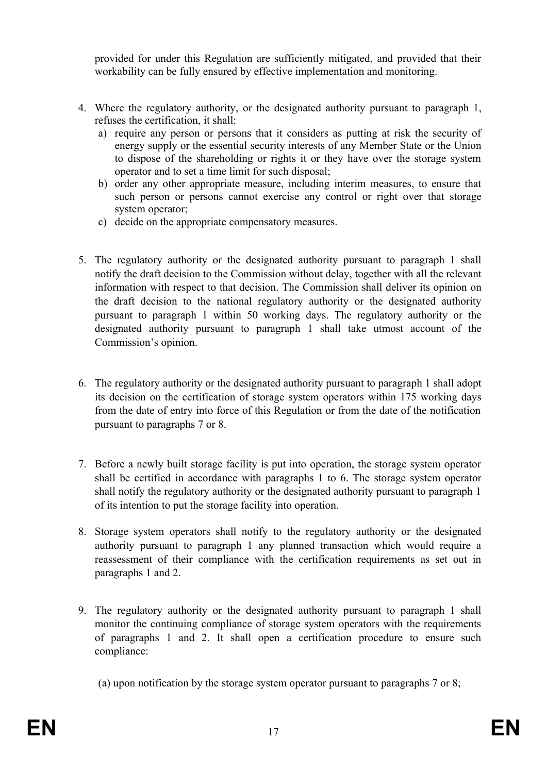provided for under this Regulation are sufficiently mitigated, and provided that their workability can be fully ensured by effective implementation and monitoring.

- 4. Where the regulatory authority, or the designated authority pursuant to paragraph 1, refuses the certification, it shall:
	- a) require any person or persons that it considers as putting at risk the security of energy supply or the essential security interests of any Member State or the Union to dispose of the shareholding or rights it or they have over the storage system operator and to set a time limit for such disposal;
	- b) order any other appropriate measure, including interim measures, to ensure that such person or persons cannot exercise any control or right over that storage system operator;
	- c) decide on the appropriate compensatory measures.
- 5. The regulatory authority or the designated authority pursuant to paragraph 1 shall notify the draft decision to the Commission without delay, together with all the relevant information with respect to that decision. The Commission shall deliver its opinion on the draft decision to the national regulatory authority or the designated authority pursuant to paragraph 1 within 50 working days. The regulatory authority or the designated authority pursuant to paragraph 1 shall take utmost account of the Commission's opinion.
- 6. The regulatory authority or the designated authority pursuant to paragraph 1 shall adopt its decision on the certification of storage system operators within 175 working days from the date of entry into force of this Regulation or from the date of the notification pursuant to paragraphs 7 or 8.
- 7. Before a newly built storage facility is put into operation, the storage system operator shall be certified in accordance with paragraphs 1 to 6. The storage system operator shall notify the regulatory authority or the designated authority pursuant to paragraph 1 of its intention to put the storage facility into operation.
- 8. Storage system operators shall notify to the regulatory authority or the designated authority pursuant to paragraph 1 any planned transaction which would require a reassessment of their compliance with the certification requirements as set out in paragraphs 1 and 2.
- 9. The regulatory authority or the designated authority pursuant to paragraph 1 shall monitor the continuing compliance of storage system operators with the requirements of paragraphs 1 and 2. It shall open a certification procedure to ensure such compliance:

(a) upon notification by the storage system operator pursuant to paragraphs 7 or 8;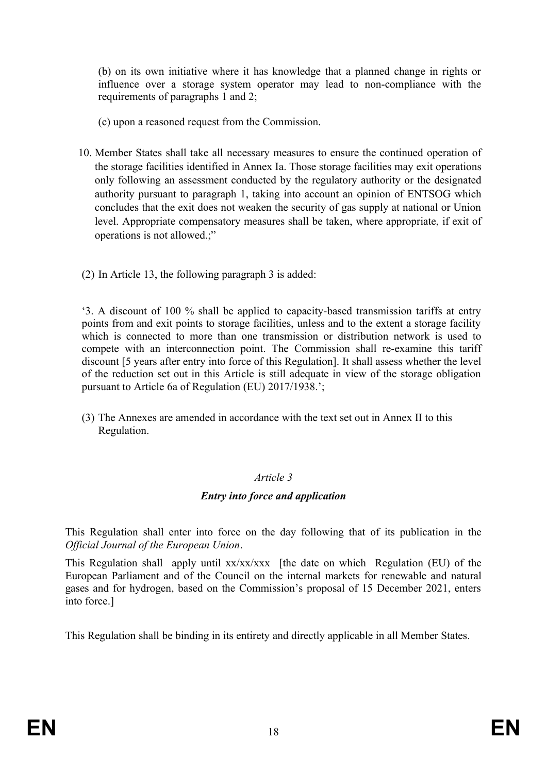(b) on its own initiative where it has knowledge that a planned change in rights or influence over a storage system operator may lead to non-compliance with the requirements of paragraphs 1 and 2;

- (c) upon a reasoned request from the Commission.
- 10. Member States shall take all necessary measures to ensure the continued operation of the storage facilities identified in Annex Ia. Those storage facilities may exit operations only following an assessment conducted by the regulatory authority or the designated authority pursuant to paragraph 1, taking into account an opinion of ENTSOG which concludes that the exit does not weaken the security of gas supply at national or Union level. Appropriate compensatory measures shall be taken, where appropriate, if exit of operations is not allowed.;"
- (2) In Article 13, the following paragraph 3 is added:

'3. A discount of 100 % shall be applied to capacity-based transmission tariffs at entry points from and exit points to storage facilities, unless and to the extent a storage facility which is connected to more than one transmission or distribution network is used to compete with an interconnection point. The Commission shall re-examine this tariff discount [5 years after entry into force of this Regulation]. It shall assess whether the level of the reduction set out in this Article is still adequate in view of the storage obligation pursuant to Article 6a of Regulation (EU) 2017/1938.';

(3) The Annexes are amended in accordance with the text set out in Annex II to this Regulation.

#### *Article 3*

## *Entry into force and application*

This Regulation shall enter into force on the day following that of its publication in the *Official Journal of the European Union*.

This Regulation shall apply until xx/xx/xxx [the date on which Regulation (EU) of the European Parliament and of the Council on the internal markets for renewable and natural gases and for hydrogen, based on the Commission's proposal of 15 December 2021, enters into force.]

This Regulation shall be binding in its entirety and directly applicable in all Member States.